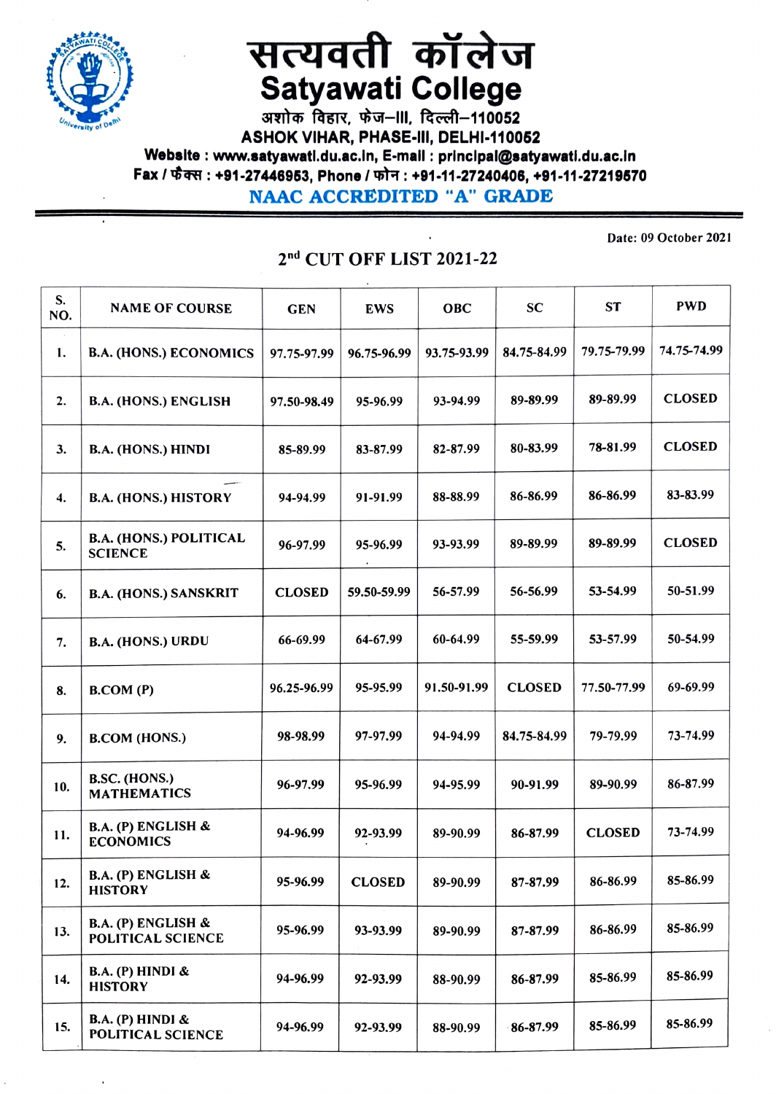

## सत्यवती कॉलेज Satyawati College<br>अशोक विहार, फेज-III, दिल्ली-110052

ASHOK VIHAR, PHASE-II, DELHI-110052 Webelte: www.satyawatl.du.ac.in, E-mall: principal@satyawatl.du.ac.In Fax / फैक्स : +91-27446953, Phone / फोन : +91-11-27240406, +91-11-27219570 NAAC ACCREDITED "A" GRADE

S. NAME OF COURSE GEN EWS OBC SC ST PWD NO. 1. B.A. (HONS.) ECONOMICS | 97.75-97.99 96.75-96.99 93.75-93.99 84.75-84.99 79.75-79.99 74.75-74.99 2. B.A. (HONS.) ENGLISH 97.50-98.49 95-96.99 93-94.99 89-89.99 89-89.99 CLOSED 3. B.A. (HONS.) HINDI 85-89.99 83-87.99 82-87.99 80-83.99 78-81.99 CLOSED 4. B.A. (HONS.) HISTORY 94-94.99 91-91.99 88-88.99 86-86.99 86-86.99 83-83.99 B.A. (HONS.) POLITiCAL SCIENCE 5. 96-97.99 95-96.99 93-93.99 89-89.99 89-89.99 CLOSED 6. B.A. (HONS.) SANSKRIT | CLOSED | 59.50-59.99 | 56-57.99 | 56-56.99 | 53-54.99 | 50-51.99 B.A. (HONS.) URDU 66-69.99 64-67.99 60-64.99 55-59.99 53-57.99 50-54.99 7. 8. B.COM (P) 86.25-96.99 95-95.99 91.50-91.99 CLOSED 77.50-77.99 69-69.99 9. B.COM (HONS.) 98-98.99 97-97.99 94-94.99 84.75-84.99 79-79.99 73-74.99 **B.SC. (HONS.)**<br>MATHEMATICS 10. B.SC. (HOINS.)<br>MATHEMATICS 196-97.99 95-96.99 94-95.99 90-91.99 89-90.99 86-87.99 B.A. (P) ENGLISH& 11. ECONOMICS 94-96.99 | 92-93.99 | 89-90.99 | 86-87.99 | CLOSED | 73-74.99 12. B.A. (P) ENGLISH & 95-96.99 CLOSED 89-90.99 87-87.99 86-86.99 85-86.99 B.A. (P) ENGLISH & 13. B.A. (P) ENGLISH & 95-96.99 93-93.99 89-90.99 87-87.99 86-86.99 85-86.99 B.A. (P) HINDI & HISTORY 14. 94-96.99 92-93.99 88-90.99 86-87.99 85-86.99 85-86.99 B.A. (P) HINDI& 15.  $\begin{array}{|c|c|c|c|c|c|c|c|c|} \hline \text{B.A. (P) HINDI & & & 94-96.99 & 92-93.99 & 88-90.99 & 86-87.99 & 85-86.99 & 85-86.99 \hline \end{array}$ 

## 2nd CUT OFF LIST 2021-22

Date: 09 October 2021